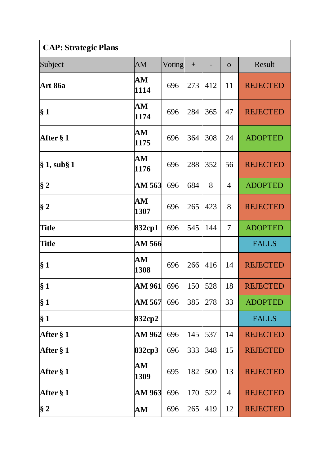| <b>CAP: Strategic Plans</b> |                    |        |        |     |                |                 |  |
|-----------------------------|--------------------|--------|--------|-----|----------------|-----------------|--|
| Subject                     | AM                 | Voting | $^{+}$ |     | $\overline{O}$ | Result          |  |
| <b>Art 86a</b>              | AM<br>1114         | 696    | 273    | 412 | 11             | <b>REJECTED</b> |  |
| $\S~1$                      | AM<br>1174         | 696    | 284    | 365 | 47             | <b>REJECTED</b> |  |
| After § 1                   | AM<br>1175         | 696    | 364    | 308 | 24             | <b>ADOPTED</b>  |  |
| $\S 1$ , sub $\S 1$         | AM<br>1176         | 696    | 288    | 352 | 56             | <b>REJECTED</b> |  |
| $§$ 2                       | AM 563             | 696    | 684    | 8   | 4              | <b>ADOPTED</b>  |  |
| $\S 2$                      | ${\bf AM}$<br>1307 | 696    | 265    | 423 | 8              | <b>REJECTED</b> |  |
| <b>Title</b>                | 832cp1             | 696    | 545    | 144 | $\overline{7}$ | <b>ADOPTED</b>  |  |
| <b>Title</b>                | AM 566             |        |        |     |                | <b>FALLS</b>    |  |
| $\S 1$                      | AM<br>1308         | 696    | 266    | 416 | 14             | <b>REJECTED</b> |  |
| $\S 1$                      | AM 961             | 696    | 150    | 528 | 18             | <b>REJECTED</b> |  |
| $\S 1$                      | AM 567             | 696    | 385    | 278 | 33             | <b>ADOPTED</b>  |  |
| $\S 1$                      | 832cp2             |        |        |     |                | <b>FALLS</b>    |  |
| After § 1                   | AM 962             | 696    | 145    | 537 | 14             | <b>REJECTED</b> |  |
| After § 1                   | 832cp3             | 696    | 333    | 348 | 15             | <b>REJECTED</b> |  |
| After § 1                   | AM<br>1309         | 695    | 182    | 500 | 13             | <b>REJECTED</b> |  |
| After § 1                   | <b>AM 963</b>      | 696    | 170    | 522 | 4              | <b>REJECTED</b> |  |
| § 2                         | AM                 | 696    | 265    | 419 | 12             | <b>REJECTED</b> |  |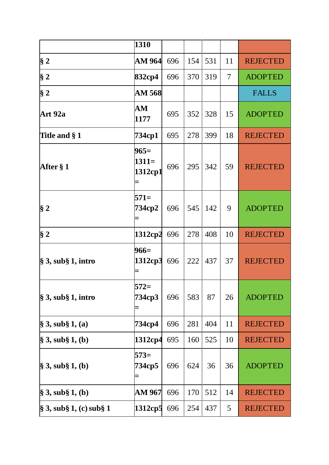|                                     | 1310                         |     |     |     |    |                 |
|-------------------------------------|------------------------------|-----|-----|-----|----|-----------------|
| § 2                                 | AM 964                       | 696 | 154 | 531 | 11 | <b>REJECTED</b> |
| § 2                                 | 832cp4                       | 696 | 370 | 319 | 7  | <b>ADOPTED</b>  |
| $§$ 2                               | AM 568                       |     |     |     |    | <b>FALLS</b>    |
| Art 92a                             | AM<br>1177                   | 695 | 352 | 328 | 15 | <b>ADOPTED</b>  |
| Title and §1                        | 734cp1                       | 695 | 278 | 399 | 18 | <b>REJECTED</b> |
| After § 1                           | $965=$<br>$1311=$<br>1312cp1 | 696 | 295 | 342 | 59 | <b>REJECTED</b> |
| $§$ 2                               | $571=$<br>734cp2             | 696 | 545 | 142 | 9  | <b>ADOPTED</b>  |
| § 2                                 | 1312cp2                      | 696 | 278 | 408 | 10 | <b>REJECTED</b> |
| $\S$ 3, sub $\S$ 1, intro           | $966=$<br>1312cp3            | 696 | 222 | 437 | 37 | <b>REJECTED</b> |
| $\$\,3,$ sub $\S\,1,$ intro         | $572=$<br>734cp3             | 696 | 583 | 87  | 26 | <b>ADOPTED</b>  |
| $\$\,3,$ sub $\S\,1,$ (a)           | 734ср4                       | 696 | 281 | 404 | 11 | <b>REJECTED</b> |
| $\S 3$ , sub $\S 1$ , (b)           | 1312cp4                      | 695 | 160 | 525 | 10 | <b>REJECTED</b> |
| $\$\,3,$ sub $\S\,1,$ (b)           | $573=$<br>734cp5             | 696 | 624 | 36  | 36 | <b>ADOPTED</b>  |
| $\hat{\S}$ 3, sub $\hat{\S}$ 1, (b) | <b>AM 967</b>                | 696 | 170 | 512 | 14 | <b>REJECTED</b> |
| § 3, sub§ 1, (c) sub§ 1             | 1312cp5                      | 696 | 254 | 437 | 5  | <b>REJECTED</b> |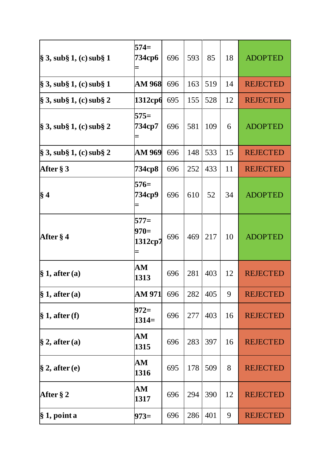| $\S 3$ , sub $\S 1$ , (c) sub $\S 1$ | $574=$<br>734ср6                 | 696 | 593 | 85  | 18 | <b>ADOPTED</b>  |
|--------------------------------------|----------------------------------|-----|-----|-----|----|-----------------|
| § 3, sub§ 1, (c) sub§ 1              | <b>AM 968</b>                    | 696 | 163 | 519 | 14 | <b>REJECTED</b> |
| $\S$ 3, sub $\S$ 1, (c) sub $\S$ 2   | 1312cp6                          | 695 | 155 | 528 | 12 | <b>REJECTED</b> |
| § 3, sub§ 1, (c) sub§ 2              | $575=$<br>734ср7                 | 696 | 581 | 109 | 6  | <b>ADOPTED</b>  |
| $\S$ 3, sub $\S$ 1, (c) sub $\S$ 2   | <b>AM 969</b>                    | 696 | 148 | 533 | 15 | <b>REJECTED</b> |
| After § 3                            | 734ср8                           | 696 | 252 | 433 | 11 | <b>REJECTED</b> |
| § 4                                  | $576=$<br>734ср9                 | 696 | 610 | 52  | 34 | <b>ADOPTED</b>  |
| <b>After</b> § 4                     | $577=$<br>$970=$<br>1312cp7<br>Ξ | 696 | 469 | 217 | 10 | <b>ADOPTED</b>  |
| § 1, after (a)                       | ${\bf AM}$<br>1313               | 696 | 281 | 403 | 12 | <b>REJECTED</b> |
| $\S 1$ , after (a)                   | AM 971                           | 696 | 282 | 405 | 9  | <b>REJECTED</b> |
| § 1, after(f)                        | $972=$<br>$1314=$                | 696 | 277 | 403 | 16 | <b>REJECTED</b> |
| $\S$ 2, after (a)                    | ${\bf AM}$<br>1315               | 696 | 283 | 397 | 16 | <b>REJECTED</b> |
| $\S$ 2, after (e)                    | ${\bf AM}$<br>1316               | 695 | 178 | 509 | 8  | <b>REJECTED</b> |
| After § 2                            | ${\bf AM}$<br>1317               | 696 | 294 | 390 | 12 | <b>REJECTED</b> |
| $§ 1$ , point a                      | $973=$                           | 696 | 286 | 401 | 9  | <b>REJECTED</b> |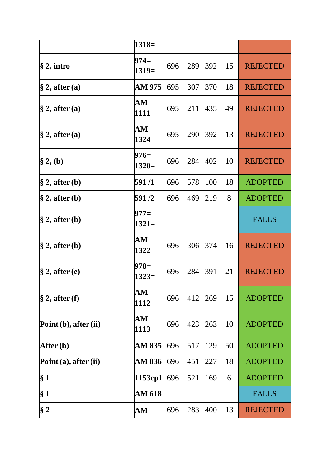|                            | $1318=$            |     |     |     |    |                 |
|----------------------------|--------------------|-----|-----|-----|----|-----------------|
| $\S 2$ , intro             | 974=<br>$1319=$    | 696 | 289 | 392 | 15 | <b>REJECTED</b> |
| $\S$ 2, after (a)          | AM 975             | 695 | 307 | 370 | 18 | <b>REJECTED</b> |
| $\S$ 2, after (a)          | AM<br>1111         | 695 | 211 | 435 | 49 | <b>REJECTED</b> |
| $\S$ 2, after (a)          | ${\bf AM}$<br>1324 | 695 | 290 | 392 | 13 | <b>REJECTED</b> |
| $\S 2, (b)$                | 976=<br>$1320=$    | 696 | 284 | 402 | 10 | <b>REJECTED</b> |
| $\S$ 2, after (b)          | 591/1              | 696 | 578 | 100 | 18 | <b>ADOPTED</b>  |
| $\hat{\S}$ 2, after (b)    | 591/2              | 696 | 469 | 219 | 8  | <b>ADOPTED</b>  |
| $\S$ 2, after (b)          | $977=$<br>$1321=$  |     |     |     |    | <b>FALLS</b>    |
| $\S$ 2, after (b)          | ${\bf AM}$<br>1322 | 696 | 306 | 374 | 16 | <b>REJECTED</b> |
| $\S$ 2, after (e)          | 978=<br>$1323=$    | 696 | 284 | 391 | 21 | <b>REJECTED</b> |
| $\S$ 2, after (f)          | AM<br>1112         | 696 | 412 | 269 | 15 | <b>ADOPTED</b>  |
| Point $(b)$ , after $(ii)$ | ${\bf AM}$<br>1113 | 696 | 423 | 263 | 10 | <b>ADOPTED</b>  |
| After (b)                  | AM 835             | 696 | 517 | 129 | 50 | <b>ADOPTED</b>  |
| Point(a), after (ii)       | AM 836             | 696 | 451 | 227 | 18 | <b>ADOPTED</b>  |
| $\S 1$                     | 1153cp1            | 696 | 521 | 169 | 6  | <b>ADOPTED</b>  |
| $\S 1$                     | <b>AM 618</b>      |     |     |     |    | <b>FALLS</b>    |
| $§$ 2                      | AM                 | 696 | 283 | 400 | 13 | <b>REJECTED</b> |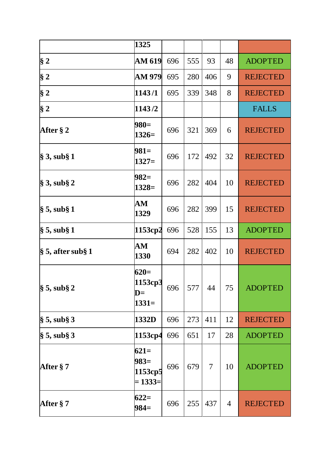|                                | 1325                                     |     |         |                |    |                 |
|--------------------------------|------------------------------------------|-----|---------|----------------|----|-----------------|
| $\S 2$                         | <b>AM 619</b>                            | 696 | 555     | 93             | 48 | <b>ADOPTED</b>  |
| $§$ 2                          | AM 979                                   | 695 | 280     | 406            | 9  | <b>REJECTED</b> |
| § 2                            | 1143/1                                   | 695 | 339     | 348            | 8  | <b>REJECTED</b> |
| $\S 2$                         | 1143/2                                   |     |         |                |    | <b>FALLS</b>    |
| After $\S 2$                   | $980=$<br>$1326=$                        | 696 | 321     | 369            | 6  | <b>REJECTED</b> |
| $\S$ 3, sub $\S$ 1             | $981=$<br>$1327=$                        | 696 | 172     | 492            | 32 | <b>REJECTED</b> |
| $\S$ 3, sub $\S$ 2             | $982=$<br>$1328=$                        | 696 | 282     | 404            | 10 | <b>REJECTED</b> |
| $\S 5$ , sub $\S 1$            | AM<br>1329                               | 696 | 282     | 399            | 15 | <b>REJECTED</b> |
| $\S 5$ , sub $\S 1$            | 1153cp2                                  | 696 | 528     | 155            | 13 | <b>ADOPTED</b>  |
| $\frac{1}{2}$ 5, after sub § 1 | ${\bf AM}$<br>1330                       | 694 | 282     | 402            | 10 | <b>REJECTED</b> |
| $\frac{1}{3}$ 5, sub § 2       | $620=$<br>1153cp3<br>$D=$<br>$1331=$     |     | 696 577 | 44             | 75 | <b>ADOPTED</b>  |
| $\S$ 5, sub $\S$ 3             | 1332D                                    | 696 | 273     | 411            | 12 | <b>REJECTED</b> |
| $§ 5$ , sub§ 3                 | 1153cp4                                  | 696 | 651     | 17             | 28 | <b>ADOPTED</b>  |
| After §7                       | $621=$<br>$983=$<br>1153cp5<br>$= 1333=$ | 696 | 679     | $\overline{7}$ | 10 | <b>ADOPTED</b>  |
| After § 7                      | $622=$<br>$984=$                         | 696 | 255     | 437            | 4  | <b>REJECTED</b> |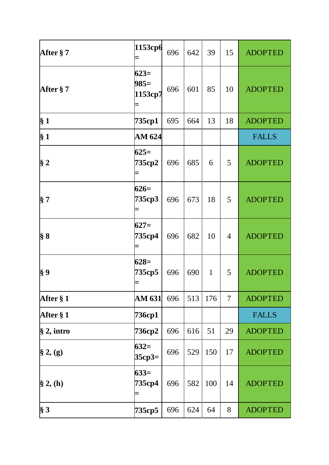| After § 7      | 1153cp6                     | 696 | 642 | 39           | 15 | <b>ADOPTED</b> |
|----------------|-----------------------------|-----|-----|--------------|----|----------------|
| After § 7      | $623=$<br>$985=$<br>1153cp7 | 696 | 601 | 85           | 10 | <b>ADOPTED</b> |
| $\S 1$         | 735cp1                      | 695 | 664 | 13           | 18 | <b>ADOPTED</b> |
| $\S 1$         | AM 624                      |     |     |              |    | <b>FALLS</b>   |
| $§$ 2          | $625=$<br>735cp2<br>Ξ       | 696 | 685 | 6            | 5  | <b>ADOPTED</b> |
| § 7            | $626=$<br>735cp3            | 696 | 673 | 18           | 5  | <b>ADOPTED</b> |
| $\S 8$         | $627=$<br>735cp4<br>Ξ       | 696 | 682 | 10           | 4  | <b>ADOPTED</b> |
| $\S 9$         | $628=$<br>735cp5            | 696 | 690 | $\mathbf{1}$ | 5  | <b>ADOPTED</b> |
| After § 1      | <b>AM 631</b>               | 696 | 513 | 176          | 7  | <b>ADOPTED</b> |
| After § 1      | 736cp1                      |     |     |              |    | <b>FALLS</b>   |
| $\S 2$ , intro | 736ср2                      | 696 | 616 | 51           | 29 | <b>ADOPTED</b> |
| $\S 2, (g)$    | $632=$<br>$35cp3=$          | 696 | 529 | 150          | 17 | <b>ADOPTED</b> |
| $\S 2, (h)$    | $633=$<br>735ср4<br>Ξ       | 696 | 582 | 100          | 14 | <b>ADOPTED</b> |
| $\S 3$         | 735cp5                      | 696 | 624 | 64           | 8  | <b>ADOPTED</b> |